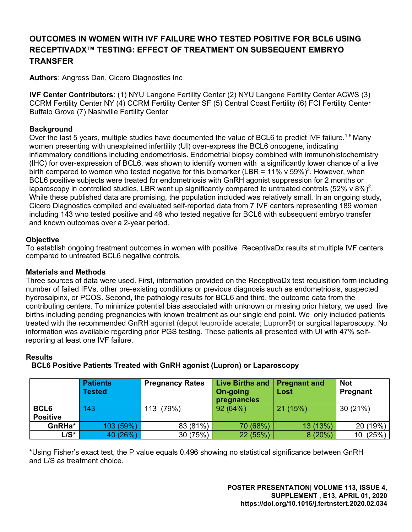# **OUTCOMES IN WOMEN WITH IVF FAILURE WHO TESTED POSITIVE FOR BCL6 USING RECEPTIVADX™ TESTING: EFFECT OF TREATMENT ON SUBSEQUENT EMBRYO TRANSFER**

**Authors**: Angress Dan, Cicero Diagnostics Inc

**IVF Center Contributors**: (1) NYU Langone Fertility Center (2) NYU Langone Fertility Center ACWS (3) CCRM Fertility Center NY (4) CCRM Fertility Center SF (5) Central Coast Fertility (6) FCI Fertility Center Buffalo Grove (7) Nashville Fertility Center

# **Background**

Over the last 5 years, multiple studies have documented the value of BCL6 to predict IVF failure.<sup>1-5</sup> Many women presenting with unexplained infertility (UI) over-express the BCL6 oncogene, indicating inflammatory conditions including endometriosis. Endometrial biopsy combined with immunohistochemistry (IHC) for over-expression of BCL6, was shown to identify women with a significantly lower chance of a live birth compared to women who tested negative for this biomarker (LBR = 11% v 59%)<sup>3</sup>. However, when BCL6 positive subjects were treated for endometriosis with GnRH agonist suppression for 2 months or laparoscopy in controlled studies, LBR went up significantly compared to untreated controls (52% v 8%)<sup>2</sup>. While these published data are promising, the population included was relatively small. In an ongoing study, Cicero Diagnostics compiled and evaluated self-reported data from 7 IVF centers representing 189 women including 143 who tested positive and 46 who tested negative for BCL6 with subsequent embryo transfer and known outcomes over a 2-year period.

# **Objective**

To establish ongoing treatment outcomes in women with positive ReceptivaDx results at multiple IVF centers compared to untreated BCL6 negative controls.

#### **Materials and Methods**

Three sources of data were used. First, information provided on the ReceptivaDx test requisition form including number of failed IFVs, other pre-existing conditions or previous diagnosis such as endometriosis, suspected hydrosalpinx, or PCOS. Second, the pathology results for BCL6 and third, the outcome data from the contributing centers. To minimize potential bias associated with unknown or missing prior history, we used live births including pending pregnancies with known treatment as our single end point. We only included patients treated with the recommended GnRH agonist (depot leuprolide acetate; Lupron®) or surgical laparoscopy. No information was available regarding prior PGS testing. These patients all presented with UI with 47% selfreporting at least one IVF failure.

#### **Results**

# **BCL6 Positive Patients Treated with GnRH agonist (Lupron) or Laparoscopy**

|                 | <b>Patients</b><br><b>Tested</b> | <b>Pregnancy Rates</b> | Live Births and<br>On-going<br>pregnancies | <b>Pregnant and</b><br>Lost | Not<br>Pregnant |
|-----------------|----------------------------------|------------------------|--------------------------------------------|-----------------------------|-----------------|
| BCL6            | 143                              | 113 (79%)              | 92(64%)                                    | 21(15%)                     | 30(21%)         |
| <b>Positive</b> |                                  |                        |                                            |                             |                 |
| GnRHa*          | 103 (59%)                        | 83 (81%)               | 70 (68%)                                   | 13(13%)                     | 20 (19%)        |
| L/S*            | 40 (26%)                         | 30 (75%)               | 22 (55%)                                   | $8(20\%)$                   | 10(25%)         |

\*Using Fisher's exact test, the P value equals 0.496 showing no statistical significance between GnRH and L/S as treatment choice.